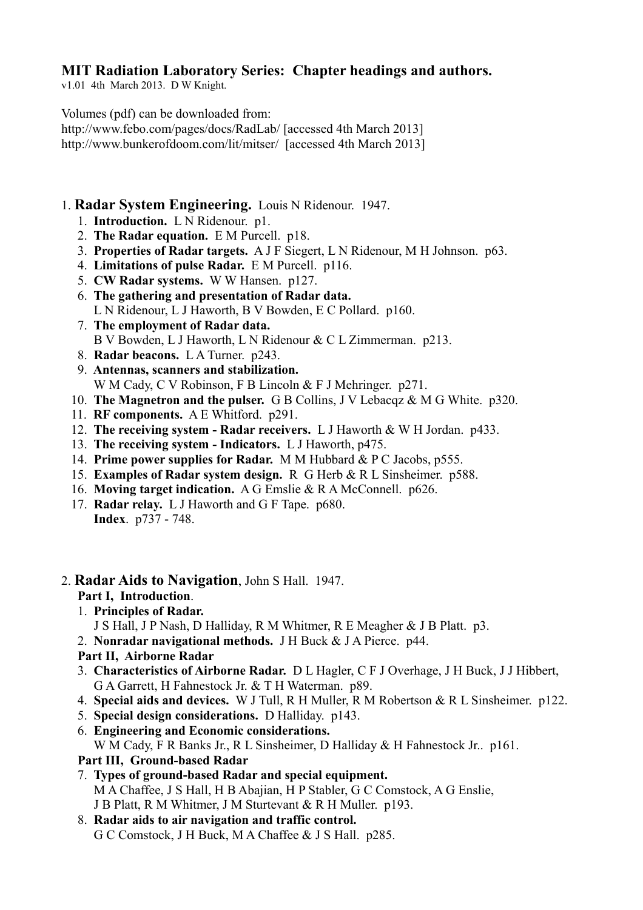# **MIT Radiation Laboratory Series: Chapter headings and authors.**

v1.01 4th March 2013. D W Knight.

Volumes (pdf) can be downloaded from:

http://www.febo.com/pages/docs/RadLab/ [accessed 4th March 2013] http://www.bunkerofdoom.com/lit/mitser/ [accessed 4th March 2013]

# 1. **Radar System Engineering.** Louis N Ridenour. 1947.

- 1. **Introduction.** L N Ridenour. p1.
- 2. **The Radar equation.** E M Purcell. p18.
- 3. **Properties of Radar targets.** A J F Siegert, L N Ridenour, M H Johnson. p63.
- 4. **Limitations of pulse Radar.** E M Purcell. p116.
- 5. **CW Radar systems.** W W Hansen. p127.
- 6. **The gathering and presentation of Radar data.** L N Ridenour, L J Haworth, B V Bowden, E C Pollard. p160.
- 7. **The employment of Radar data.** B V Bowden, L J Haworth, L N Ridenour & C L Zimmerman. p213.
- 8. **Radar beacons.** L A Turner. p243.
- 9. **Antennas, scanners and stabilization.** W M Cady, C V Robinson, F B Lincoln & F J Mehringer. p271.
- 10. **The Magnetron and the pulser.** G B Collins, J V Lebacqz & M G White. p320.
- 11. **RF components.** A E Whitford. p291.
- 12. **The receiving system Radar receivers.** L J Haworth & W H Jordan. p433.
- 13. **The receiving system Indicators.** L J Haworth, p475.
- 14. **Prime power supplies for Radar.** M M Hubbard & P C Jacobs, p555.
- 15. **Examples of Radar system design.** R G Herb & R L Sinsheimer. p588.
- 16. **Moving target indication.** A G Emslie & R A McConnell. p626.
- 17. **Radar relay.** L J Haworth and G F Tape. p680. **Index**. p737 - 748.

# 2. **Radar Aids to Navigation**, John S Hall. 1947.

# **Part I, Introduction**.

- 1. **Principles of Radar.**
	- J S Hall, J P Nash, D Halliday, R M Whitmer, R E Meagher & J B Platt. p3.
- 2. **Nonradar navigational methods.** J H Buck & J A Pierce. p44.

# **Part II, Airborne Radar**

- 3. **Characteristics of Airborne Radar.** D L Hagler, C F J Overhage, J H Buck, J J Hibbert, G A Garrett, H Fahnestock Jr. & T H Waterman. p89.
- 4. **Special aids and devices.** W J Tull, R H Muller, R M Robertson & R L Sinsheimer. p122.
- 5. **Special design considerations.** D Halliday. p143.
- 6. **Engineering and Economic considerations.** W M Cady, F R Banks Jr., R L Sinsheimer, D Halliday & H Fahnestock Jr.. p161.
- **Part III, Ground-based Radar**
- 7. **Types of ground-based Radar and special equipment.** M A Chaffee, J S Hall, H B Abajian, H P Stabler, G C Comstock, A G Enslie, J B Platt, R M Whitmer, J M Sturtevant & R H Muller. p193.
- 8. **Radar aids to air navigation and traffic control.**

G C Comstock, J H Buck, M A Chaffee & J S Hall. p285.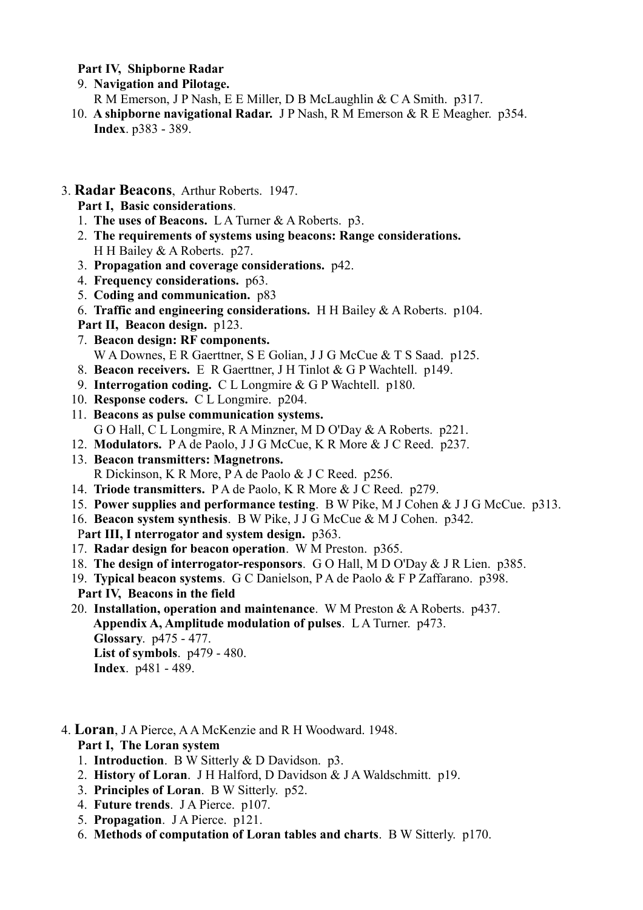#### **Part IV, Shipborne Radar**

9. **Navigation and Pilotage.**

R M Emerson, J P Nash, E E Miller, D B McLaughlin & C A Smith. p317.

- 10. **A shipborne navigational Radar.** J P Nash, R M Emerson & R E Meagher. p354. **Index**. p383 - 389.
- 3. **Radar Beacons**, Arthur Roberts. 1947.
	- **Part I, Basic considerations**.
	- 1. **The uses of Beacons.** L A Turner & A Roberts. p3.
	- 2. **The requirements of systems using beacons: Range considerations.** H H Bailey & A Roberts. p27.
	- 3. **Propagation and coverage considerations.** p42.
	- 4. **Frequency considerations.** p63.
	- 5. **Coding and communication.** p83
	- 6. **Traffic and engineering considerations.** H H Bailey & A Roberts. p104.
	- **Part II, Beacon design.** p123.
	- 7. **Beacon design: RF components.** W A Downes, E R Gaerttner, S E Golian, J J G McCue & T S Saad. p125.
	- 8. **Beacon receivers.** E R Gaerttner, J H Tinlot & G P Wachtell. p149.
	- 9. **Interrogation coding.** C L Longmire & G P Wachtell. p180.
	- 10. **Response coders.** C L Longmire. p204.
	- 11. **Beacons as pulse communication systems.** G O Hall, C L Longmire, R A Minzner, M D O'Day & A Roberts. p221.
	- 12. **Modulators.** P A de Paolo, J J G McCue, K R More & J C Reed. p237.
	- 13. **Beacon transmitters: Magnetrons.** R Dickinson, K R More, P A de Paolo & J C Reed. p256.
	- 14. **Triode transmitters.** P A de Paolo, K R More & J C Reed. p279.
	- 15. **Power supplies and performance testing**. B W Pike, M J Cohen & J J G McCue. p313.
	- 16. **Beacon system synthesis**. B W Pike, J J G McCue & M J Cohen. p342.
	- P**art III, I nterrogator and system design.** p363.
	- 17. **Radar design for beacon operation**. W M Preston. p365.
	- 18. **The design of interrogator-responsors**. G O Hall, M D O'Day & J R Lien. p385.
	- 19. **Typical beacon systems**. G C Danielson, P A de Paolo & F P Zaffarano. p398. **Part IV, Beacons in the field**
	- 20. **Installation, operation and maintenance**. W M Preston & A Roberts. p437. **Appendix A, Amplitude modulation of pulses**. L A Turner. p473. **Glossary**. p475 - 477. **List of symbols**. p479 - 480. **Index**. p481 - 489.
- 4. **Loran**, J A Pierce, A A McKenzie and R H Woodward. 1948. **Part I, The Loran system**
	- 1. **Introduction**. B W Sitterly & D Davidson. p3.
	- 2. **History of Loran**. J H Halford, D Davidson & J A Waldschmitt. p19.
	- 3. **Principles of Loran**. B W Sitterly. p52.
	- 4. **Future trends**. J A Pierce. p107.
	- 5. **Propagation**. J A Pierce. p121.
	- 6. **Methods of computation of Loran tables and charts**. B W Sitterly. p170.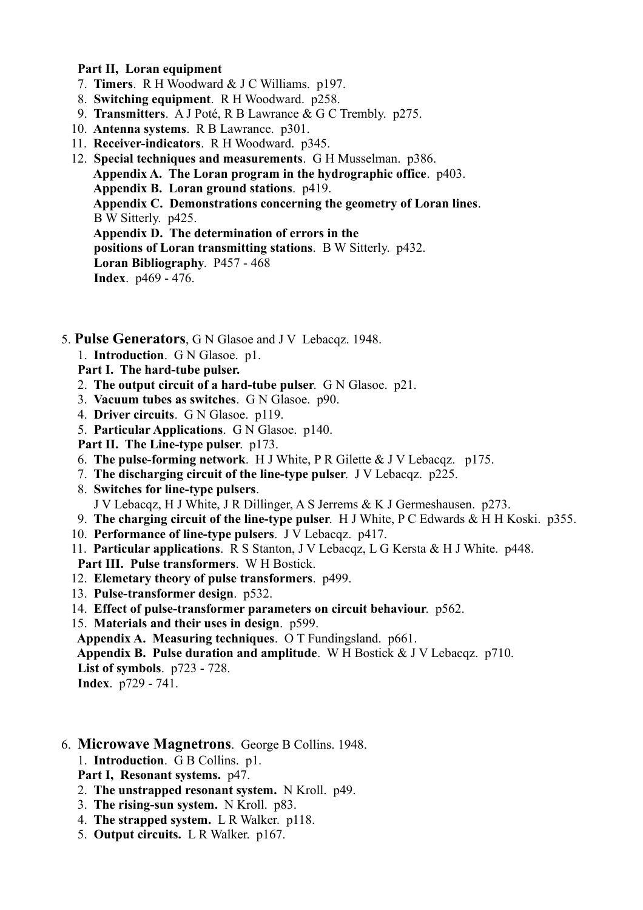#### **Part II, Loran equipment**

- 7. **Timers**. R H Woodward & J C Williams. p197.
- 8. **Switching equipment**. R H Woodward. p258.
- 9. **Transmitters**. A J Poté, R B Lawrance & G C Trembly. p275.
- 10. **Antenna systems**. R B Lawrance. p301.
- 11. **Receiver-indicators**. R H Woodward. p345.
- 12. **Special techniques and measurements**. G H Musselman. p386. **Appendix A. The Loran program in the hydrographic office**. p403. **Appendix B. Loran ground stations**. p419. **Appendix C. Demonstrations concerning the geometry of Loran lines**. B W Sitterly. p425. **Appendix D. The determination of errors in the positions of Loran transmitting stations**. B W Sitterly. p432. **Loran Bibliography**. P457 - 468 **Index**. p469 - 476.
- 5. **Pulse Generators**, G N Glasoe and J V Lebacqz. 1948.
	- 1. **Introduction**. G N Glasoe. p1.

#### **Part I. The hard-tube pulser.**

- 2. **The output circuit of a hard-tube pulser**. G N Glasoe. p21.
- 3. **Vacuum tubes as switches**. G N Glasoe. p90.
- 4. **Driver circuits**. G N Glasoe. p119.
- 5. **Particular Applications**. G N Glasoe. p140.
- **Part II. The Line-type pulser**. p173.
- 6. **The pulse-forming network**. H J White, P R Gilette & J V Lebacqz. p175.
- 7. **The discharging circuit of the line-type pulser**. J V Lebacqz. p225.
- 8. **Switches for line-type pulsers**. J V Lebacqz, H J White, J R Dillinger, A S Jerrems & K J Germeshausen. p273.
- 9. **The charging circuit of the line-type pulser**. H J White, P C Edwards & H H Koski. p355.
- 10. **Performance of line-type pulsers**. J V Lebacqz. p417.
- 11. **Particular applications**. R S Stanton, J V Lebacqz, L G Kersta & H J White. p448.
- **Part III. Pulse transformers**. W H Bostick.
- 12. **Elemetary theory of pulse transformers**. p499.
- 13. **Pulse-transformer design**. p532.
- 14. **Effect of pulse-transformer parameters on circuit behaviour**. p562.
- 15. **Materials and their uses in design**. p599.
- **Appendix A. Measuring techniques**. O T Fundingsland. p661.

 **Appendix B. Pulse duration and amplitude**. W H Bostick & J V Lebacqz. p710. **List of symbols**. p723 - 728.

**Index**. p729 - 741.

### 6. **Microwave Magnetrons**. George B Collins. 1948.

- 1. **Introduction**. G B Collins. p1.
- **Part I, Resonant systems.** p47.
- 2. **The unstrapped resonant system.** N Kroll. p49.
- 3. **The rising-sun system.** N Kroll. p83.
- 4. **The strapped system.** L R Walker. p118.
- 5. **Output circuits.** L R Walker. p167.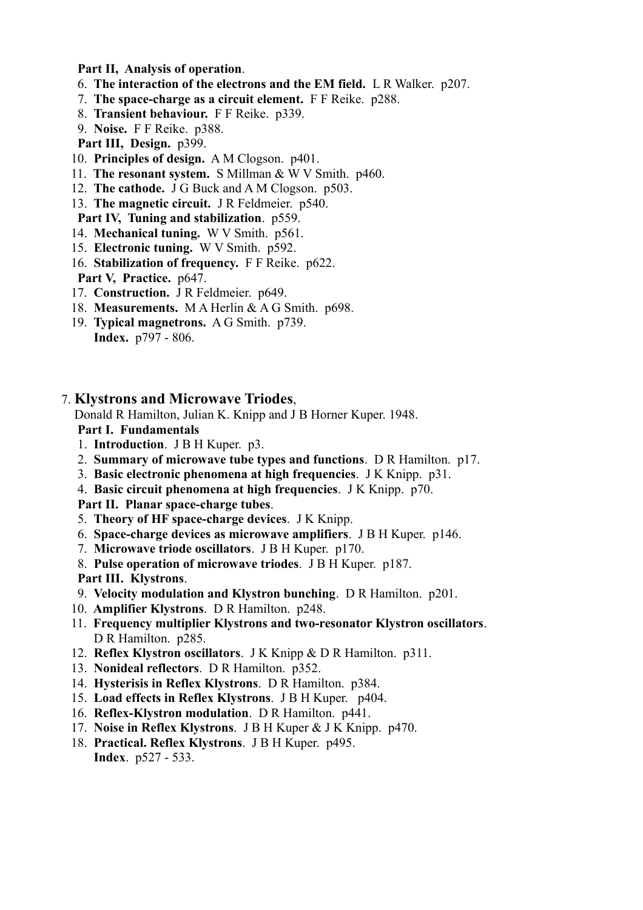**Part II, Analysis of operation**.

- 6. **The interaction of the electrons and the EM field.** L R Walker. p207.
- 7. **The space-charge as a circuit element.** F F Reike. p288.
- 8. **Transient behaviour.** F F Reike. p339.
- 9. **Noise.** F F Reike. p388.
- **Part III, Design.** p399.
- 10. **Principles of design.** A M Clogson. p401.
- 11. **The resonant system.** S Millman & W V Smith. p460.
- 12. **The cathode.** J G Buck and A M Clogson. p503.
- 13. **The magnetic circuit.** J R Feldmeier. p540.

**Part IV, Tuning and stabilization**. p559.

- 14. **Mechanical tuning.** W V Smith. p561.
- 15. **Electronic tuning.** W V Smith. p592.
- 16. **Stabilization of frequency.** F F Reike. p622. **Part V, Practice.** p647.
- 17. **Construction.** J R Feldmeier. p649.
- 18. **Measurements.** M A Herlin & A G Smith. p698.
- 19. **Typical magnetrons.** A G Smith. p739. **Index.** p797 - 806.
- 7. **Klystrons and Microwave Triodes**,

Donald R Hamilton, Julian K. Knipp and J B Horner Kuper. 1948.

**Part I. Fundamentals**

- 1. **Introduction**. J B H Kuper. p3.
- 2. **Summary of microwave tube types and functions**. D R Hamilton. p17.
- 3. **Basic electronic phenomena at high frequencies**. J K Knipp. p31.
- 4. **Basic circuit phenomena at high frequencies**. J K Knipp. p70.

**Part II. Planar space-charge tubes**.

- 5. **Theory of HF space-charge devices**. J K Knipp.
- 6. **Space-charge devices as microwave amplifiers**. J B H Kuper. p146.
- 7. **Microwave triode oscillators**. J B H Kuper. p170.
- 8. **Pulse operation of microwave triodes**. J B H Kuper. p187.

**Part III. Klystrons**.

- 9. **Velocity modulation and Klystron bunching**. D R Hamilton. p201.
- 10. **Amplifier Klystrons**. D R Hamilton. p248.
- 11. **Frequency multiplier Klystrons and two-resonator Klystron oscillators**. D R Hamilton. p285.
- 12. **Reflex Klystron oscillators**. J K Knipp & D R Hamilton. p311.
- 13. **Nonideal reflectors**. D R Hamilton. p352.
- 14. **Hysterisis in Reflex Klystrons**. D R Hamilton. p384.
- 15. **Load effects in Reflex Klystrons**. J B H Kuper. p404.
- 16. **Reflex-Klystron modulation**. D R Hamilton. p441.
- 17. **Noise in Reflex Klystrons**. J B H Kuper & J K Knipp. p470.
- 18. **Practical. Reflex Klystrons**. J B H Kuper. p495. **Index**. p527 - 533.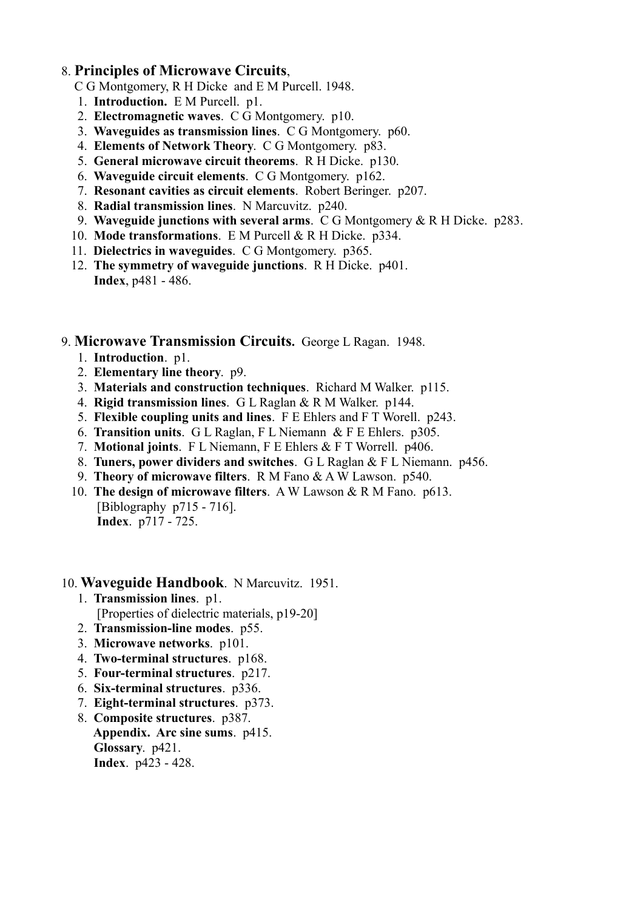## 8. **Principles of Microwave Circuits**,

- C G Montgomery, R H Dicke and E M Purcell. 1948.
- 1. **Introduction.** E M Purcell. p1.
- 2. **Electromagnetic waves**. C G Montgomery. p10.
- 3. **Waveguides as transmission lines**. C G Montgomery. p60.
- 4. **Elements of Network Theory**. C G Montgomery. p83.
- 5. **General microwave circuit theorems**. R H Dicke. p130.
- 6. **Waveguide circuit elements**. C G Montgomery. p162.
- 7. **Resonant cavities as circuit elements**. Robert Beringer. p207.
- 8. **Radial transmission lines**. N Marcuvitz. p240.
- 9. **Waveguide junctions with several arms**. C G Montgomery & R H Dicke. p283.
- 10. **Mode transformations**. E M Purcell & R H Dicke. p334.
- 11. **Dielectrics in waveguides**. C G Montgomery. p365.
- 12. **The symmetry of waveguide junctions**. R H Dicke. p401. **Index**, p481 - 486.

9. **Microwave Transmission Circuits.** George L Ragan. 1948.

- 1. **Introduction**. p1.
- 2. **Elementary line theory**. p9.
- 3. **Materials and construction techniques**. Richard M Walker. p115.
- 4. **Rigid transmission lines**. G L Raglan & R M Walker. p144.
- 5. **Flexible coupling units and lines**. F E Ehlers and F T Worell. p243.
- 6. **Transition units**. G L Raglan, F L Niemann & F E Ehlers. p305.
- 7. **Motional joints**. F L Niemann, F E Ehlers & F T Worrell. p406.
- 8. **Tuners, power dividers and switches**. G L Raglan & F L Niemann. p456.
- 9. **Theory of microwave filters**. R M Fano & A W Lawson. p540.
- 10. **The design of microwave filters**. A W Lawson & R M Fano. p613. [Biblography p715 - 716]. **Index**. p717 - 725.

### 10. **Waveguide Handbook**. N Marcuvitz. 1951.

- 1. **Transmission lines**. p1. [Properties of dielectric materials, p19-20]
- 2. **Transmission-line modes**. p55.
- 3. **Microwave networks**. p101.
- 4. **Two-terminal structures**. p168.
- 5. **Four-terminal structures**. p217.
- 6. **Six-terminal structures**. p336.
- 7. **Eight-terminal structures**. p373.
- 8. **Composite structures**. p387. **Appendix. Arc sine sums**. p415. **Glossary**. p421. **Index**. p423 - 428.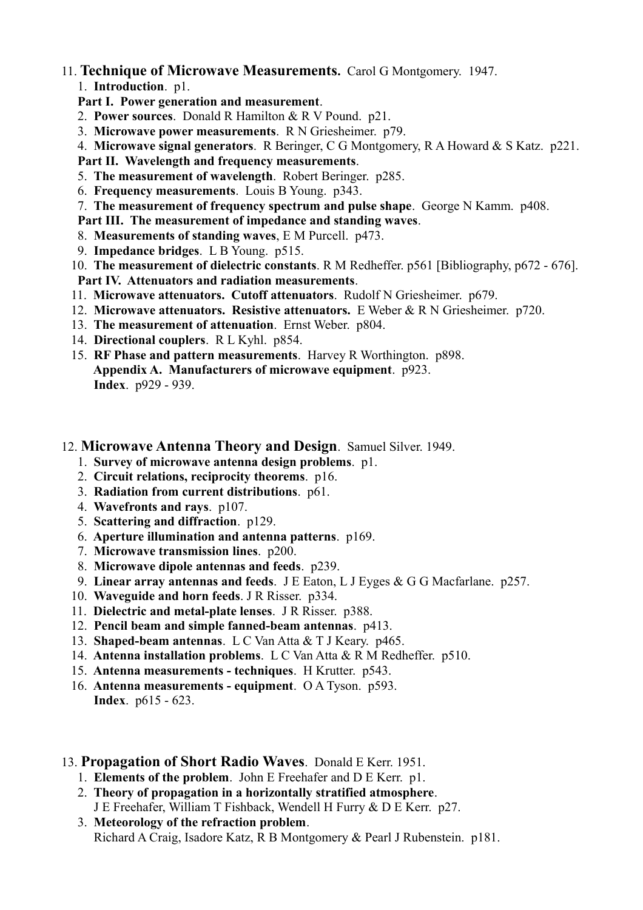## 11. **Technique of Microwave Measurements.** Carol G Montgomery. 1947.

## 1. **Introduction**. p1.

**Part I. Power generation and measurement**.

- 2. **Power sources**. Donald R Hamilton & R V Pound. p21.
- 3. **Microwave power measurements**. R N Griesheimer. p79.
- 4. **Microwave signal generators**. R Beringer, C G Montgomery, R A Howard & S Katz. p221.
- **Part II. Wavelength and frequency measurements**.
- 5. **The measurement of wavelength**. Robert Beringer. p285.
- 6. **Frequency measurements**. Louis B Young. p343.
- 7. **The measurement of frequency spectrum and pulse shape**. George N Kamm. p408.
- **Part III. The measurement of impedance and standing waves**.
- 8. **Measurements of standing waves**, E M Purcell. p473.
- 9. **Impedance bridges**. L B Young. p515.
- 10. **The measurement of dielectric constants**. R M Redheffer. p561 [Bibliography, p672 676]. **Part IV. Attenuators and radiation measurements**.
- 11. **Microwave attenuators. Cutoff attenuators**. Rudolf N Griesheimer. p679.
- 12. **Microwave attenuators. Resistive attenuators.** E Weber & R N Griesheimer. p720.
- 13. **The measurement of attenuation**. Ernst Weber. p804.
- 14. **Directional couplers**. R L Kyhl. p854.
- 15. **RF Phase and pattern measurements**. Harvey R Worthington. p898. **Appendix A. Manufacturers of microwave equipment**. p923. **Index**. p929 - 939.

## 12. **Microwave Antenna Theory and Design**. Samuel Silver. 1949.

- 1. **Survey of microwave antenna design problems**. p1.
- 2. **Circuit relations, reciprocity theorems**. p16.
- 3. **Radiation from current distributions**. p61.
- 4. **Wavefronts and rays**. p107.
- 5. **Scattering and diffraction**. p129.
- 6. **Aperture illumination and antenna patterns**. p169.
- 7. **Microwave transmission lines**. p200.
- 8. **Microwave dipole antennas and feeds**. p239.
- 9. **Linear array antennas and feeds**. J E Eaton, L J Eyges & G G Macfarlane. p257.
- 10. **Waveguide and horn feeds**. J R Risser. p334.
- 11. **Dielectric and metal-plate lenses**. J R Risser. p388.
- 12. **Pencil beam and simple fanned-beam antennas**. p413.
- 13. **Shaped-beam antennas**. L C Van Atta & T J Keary. p465.
- 14. **Antenna installation problems**. L C Van Atta & R M Redheffer. p510.
- 15. **Antenna measurements techniques**. H Krutter. p543.
- 16. **Antenna measurements equipment**. O A Tyson. p593. **Index**. p615 - 623.
- 13. **Propagation of Short Radio Waves**. Donald E Kerr. 1951.
	- 1. **Elements of the problem**. John E Freehafer and D E Kerr. p1.
	- 2. **Theory of propagation in a horizontally stratified atmosphere**. J E Freehafer, William T Fishback, Wendell H Furry & D E Kerr. p27.
	- 3. **Meteorology of the refraction problem**. Richard A Craig, Isadore Katz, R B Montgomery & Pearl J Rubenstein. p181.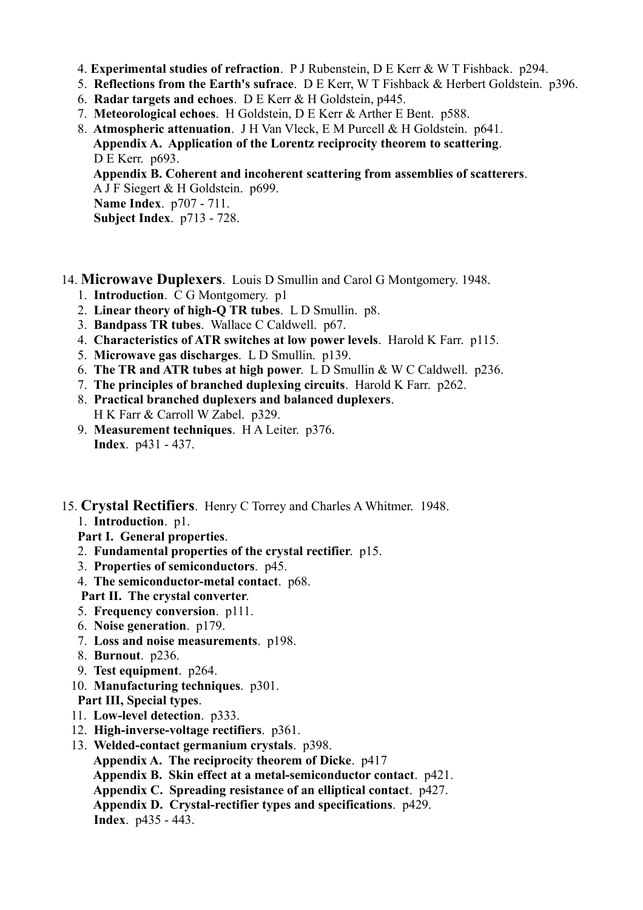4. **Experimental studies of refraction**. P J Rubenstein, D E Kerr & W T Fishback. p294.

- 5. **Reflections from the Earth's sufrace**. D E Kerr, W T Fishback & Herbert Goldstein. p396.
- 6. **Radar targets and echoes**. D E Kerr & H Goldstein, p445.
- 7. **Meteorological echoes**. H Goldstein, D E Kerr & Arther E Bent. p588.
- 8. **Atmospheric attenuation**. J H Van Vleck, E M Purcell & H Goldstein. p641. **Appendix A. Application of the Lorentz reciprocity theorem to scattering**. D E Kerr. p693. **Appendix B. Coherent and incoherent scattering from assemblies of scatterers**. A J F Siegert & H Goldstein. p699. **Name Index**. p707 - 711. **Subject Index**. p713 - 728.
- 14. **Microwave Duplexers**. Louis D Smullin and Carol G Montgomery. 1948.
	- 1. **Introduction**. C G Montgomery. p1
	- 2. **Linear theory of high-Q TR tubes**. L D Smullin. p8.
	- 3. **Bandpass TR tubes**. Wallace C Caldwell. p67.
	- 4. **Characteristics of ATR switches at low power levels**. Harold K Farr. p115.
	- 5. **Microwave gas discharges**. L D Smullin. p139.
	- 6. **The TR and ATR tubes at high power**. L D Smullin & W C Caldwell. p236.
	- 7. **The principles of branched duplexing circuits**. Harold K Farr. p262.
	- 8. **Practical branched duplexers and balanced duplexers**. H K Farr & Carroll W Zabel. p329.
	- 9. **Measurement techniques**. H A Leiter. p376. **Index**. p431 - 437.
- 15. **Crystal Rectifiers**. Henry C Torrey and Charles A Whitmer. 1948.
	- 1. **Introduction**. p1.

**Part I. General properties**.

- 2. **Fundamental properties of the crystal rectifier**. p15.
- 3. **Properties of semiconductors**. p45.
- 4. **The semiconductor-metal contact**. p68.

**Part II. The crystal converter**.

- 5. **Frequency conversion**. p111.
- 6. **Noise generation**. p179.
- 7. **Loss and noise measurements**. p198.
- 8. **Burnout**. p236.
- 9. **Test equipment**. p264.
- 10. **Manufacturing techniques**. p301.

**Part III, Special types**.

- 11. **Low-level detection**. p333.
- 12. **High-inverse-voltage rectifiers**. p361.
- 13. **Welded-contact germanium crystals**. p398.
	- **Appendix A. The reciprocity theorem of Dicke**. p417
	- **Appendix B. Skin effect at a metal-semiconductor contact**. p421.
	- **Appendix C. Spreading resistance of an elliptical contact**. p427.
	- **Appendix D. Crystal-rectifier types and specifications**. p429.

**Index**. p435 - 443.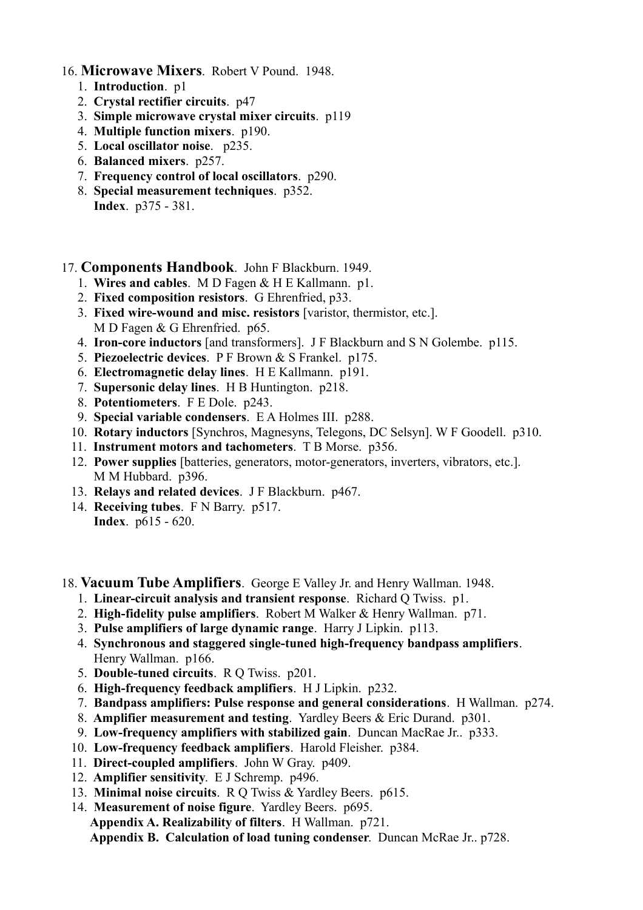- 16. **Microwave Mixers**. Robert V Pound. 1948.
	- 1. **Introduction**. p1
	- 2. **Crystal rectifier circuits**. p47
	- 3. **Simple microwave crystal mixer circuits**. p119
	- 4. **Multiple function mixers**. p190.
	- 5. **Local oscillator noise**. p235.
	- 6. **Balanced mixers**. p257.
	- 7. **Frequency control of local oscillators**. p290.
	- 8. **Special measurement techniques**. p352. **Index**. p375 - 381.

### 17. **Components Handbook**. John F Blackburn. 1949.

- 1. **Wires and cables**. M D Fagen & H E Kallmann. p1.
- 2. **Fixed composition resistors**. G Ehrenfried, p33.
- 3. **Fixed wire-wound and misc. resistors** [varistor, thermistor, etc.]. M D Fagen & G Ehrenfried. p65.
- 4. **Iron-core inductors** [and transformers]. J F Blackburn and S N Golembe. p115.
- 5. **Piezoelectric devices**. P F Brown & S Frankel. p175.
- 6. **Electromagnetic delay lines**. H E Kallmann. p191.
- 7. **Supersonic delay lines**. H B Huntington. p218.
- 8. **Potentiometers**. F E Dole. p243.
- 9. **Special variable condensers**. E A Holmes III. p288.
- 10. **Rotary inductors** [Synchros, Magnesyns, Telegons, DC Selsyn]. W F Goodell. p310.
- 11. **Instrument motors and tachometers**. T B Morse. p356.
- 12. **Power supplies** [batteries, generators, motor-generators, inverters, vibrators, etc.]. M M Hubbard. p396.
- 13. **Relays and related devices**. J F Blackburn. p467.
- 14. **Receiving tubes**. F N Barry. p517. **Index**. p615 - 620.
- 18. **Vacuum Tube Amplifiers**. George E Valley Jr. and Henry Wallman. 1948.
	- 1. **Linear-circuit analysis and transient response**. Richard Q Twiss. p1.
	- 2. **High-fidelity pulse amplifiers**. Robert M Walker & Henry Wallman. p71.
	- 3. **Pulse amplifiers of large dynamic range**. Harry J Lipkin. p113.
	- 4. **Synchronous and staggered single-tuned high-frequency bandpass amplifiers**. Henry Wallman. p166.
	- 5. **Double-tuned circuits**. R Q Twiss. p201.
	- 6. **High-frequency feedback amplifiers**. H J Lipkin. p232.
	- 7. **Bandpass amplifiers: Pulse response and general considerations**. H Wallman. p274.
	- 8. **Amplifier measurement and testing**. Yardley Beers & Eric Durand. p301.
	- 9. **Low-frequency amplifiers with stabilized gain**. Duncan MacRae Jr.. p333.
	- 10. **Low-frequency feedback amplifiers**. Harold Fleisher. p384.
	- 11. **Direct-coupled amplifiers**. John W Gray. p409.
	- 12. **Amplifier sensitivity**. E J Schremp. p496.
	- 13. **Minimal noise circuits**. R Q Twiss & Yardley Beers. p615.
	- 14. **Measurement of noise figure**. Yardley Beers. p695. **Appendix A. Realizability of filters**. H Wallman. p721. **Appendix B. Calculation of load tuning condenser**. Duncan McRae Jr.. p728.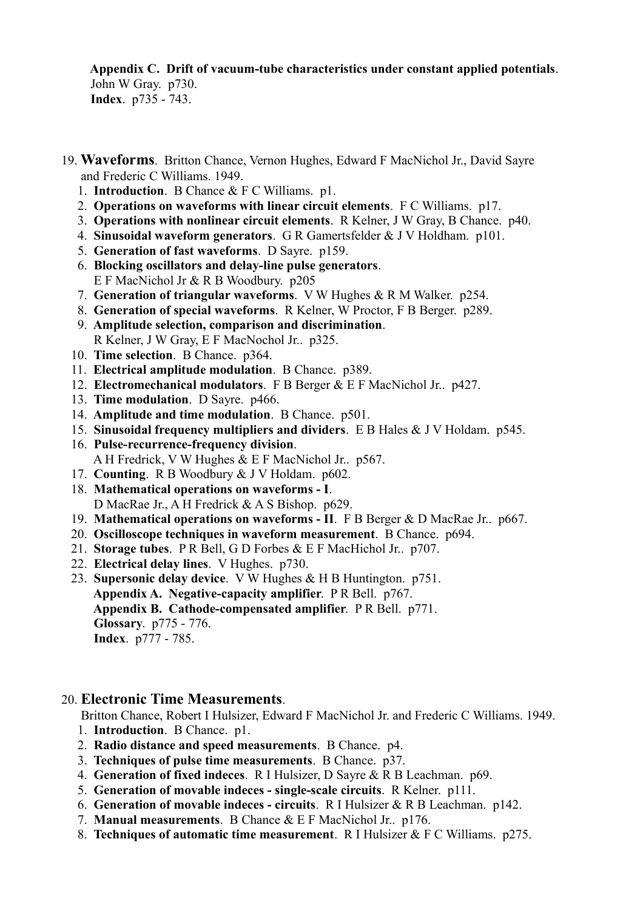**Appendix C. Drift of vacuum-tube characteristics under constant applied potentials**. John W Gray. p730. **Index**. p735 - 743.

- 19. **Waveforms**. Britton Chance, Vernon Hughes, Edward F MacNichol Jr., David Sayre and Frederic C Williams. 1949.
	- 1. **Introduction**. B Chance & F C Williams. p1.
	- 2. **Operations on waveforms with linear circuit elements**. F C Williams. p17.
	- 3. **Operations with nonlinear circuit elements**. R Kelner, J W Gray, B Chance. p40.
	- 4. **Sinusoidal waveform generators**. G R Gamertsfelder & J V Holdham. p101.
	- 5. **Generation of fast waveforms**. D Sayre. p159.
	- 6. **Blocking oscillators and delay-line pulse generators**. E F MacNichol Jr & R B Woodbury. p205
	- 7. **Generation of triangular waveforms**. V W Hughes & R M Walker. p254.
	- 8. **Generation of special waveforms**. R Kelner, W Proctor, F B Berger. p289.
	- 9. **Amplitude selection, comparison and discrimination**. R Kelner, J W Gray, E F MacNochol Jr.. p325.
	- 10. **Time selection**. B Chance. p364.
	- 11. **Electrical amplitude modulation**. B Chance. p389.
	- 12. **Electromechanical modulators**. F B Berger & E F MacNichol Jr.. p427.
	- 13. **Time modulation**. D Sayre. p466.
	- 14. **Amplitude and time modulation**. B Chance. p501.
	- 15. **Sinusoidal frequency multipliers and dividers**. E B Hales & J V Holdam. p545.
	- 16. **Pulse-recurrence-frequency division**. A H Fredrick, V W Hughes & E F MacNichol Jr.. p567.
	- 17. **Counting**. R B Woodbury & J V Holdam. p602.
	- 18. **Mathematical operations on waveforms I**. D MacRae Jr., A H Fredrick & A S Bishop. p629.
	- 19. **Mathematical operations on waveforms II**. F B Berger & D MacRae Jr.. p667.
	- 20. **Oscilloscope techniques in waveform measurement**. B Chance. p694.
	- 21. **Storage tubes**. P R Bell, G D Forbes & E F MacHichol Jr.. p707.
	- 22. **Electrical delay lines**. V Hughes. p730.
	- 23. **Supersonic delay device**. V W Hughes & H B Huntington. p751. **Appendix A. Negative-capacity amplifier**. P R Bell. p767. **Appendix B. Cathode-compensated amplifier**. P R Bell. p771. **Glossary**. p775 - 776. **Index**. p777 - 785.

### 20. **Electronic Time Measurements**.

Britton Chance, Robert I Hulsizer, Edward F MacNichol Jr. and Frederic C Williams. 1949.

- 1. **Introduction**. B Chance. p1.
- 2. **Radio distance and speed measurements**. B Chance. p4.
- 3. **Techniques of pulse time measurements**. B Chance. p37.
- 4. **Generation of fixed indeces**. R I Hulsizer, D Sayre & R B Leachman. p69.
- 5. **Generation of movable indeces single-scale circuits**. R Kelner. p111.
- 6. **Generation of movable indeces circuits**. R I Hulsizer & R B Leachman. p142.
- 7. **Manual measurements**. B Chance & E F MacNichol Jr.. p176.
- 8. **Techniques of automatic time measurement**. R I Hulsizer & F C Williams. p275.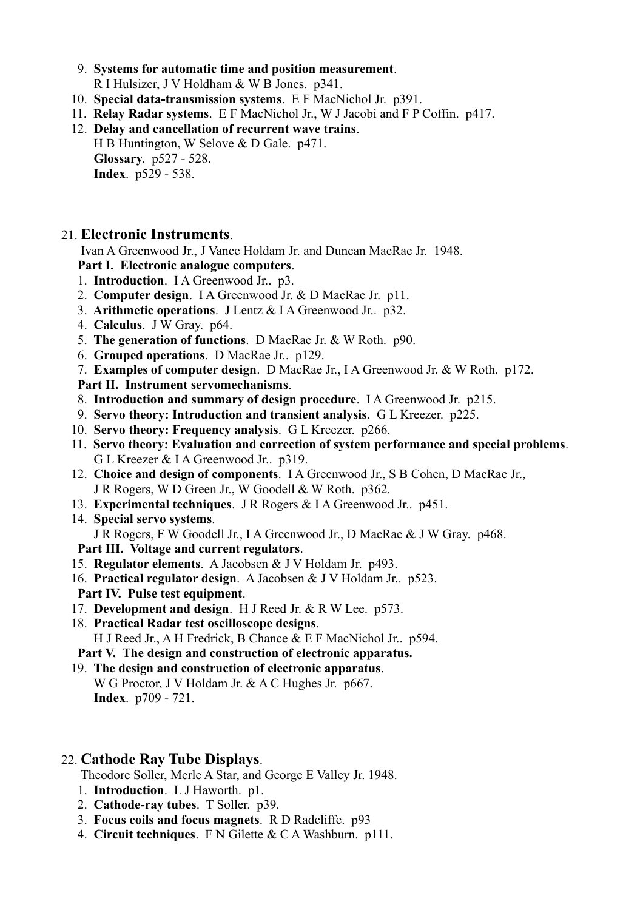- 9. **Systems for automatic time and position measurement**. R I Hulsizer, J V Holdham & W B Jones. p341.
- 10. **Special data-transmission systems**. E F MacNichol Jr. p391.
- 11. **Relay Radar systems**. E F MacNichol Jr., W J Jacobi and F P Coffin. p417.
- 12. **Delay and cancellation of recurrent wave trains**. H B Huntington, W Selove & D Gale. p471. **Glossary**. p527 - 528. **Index**. p529 - 538.

## 21. **Electronic Instruments**.

Ivan A Greenwood Jr., J Vance Holdam Jr. and Duncan MacRae Jr. 1948.

- **Part I. Electronic analogue computers**.
- 1. **Introduction**. I A Greenwood Jr.. p3.
- 2. **Computer design**. I A Greenwood Jr. & D MacRae Jr. p11.
- 3. **Arithmetic operations**. J Lentz & I A Greenwood Jr.. p32.
- 4. **Calculus**. J W Gray. p64.
- 5. **The generation of functions**. D MacRae Jr. & W Roth. p90.
- 6. **Grouped operations**. D MacRae Jr.. p129.
- 7. **Examples of computer design**. D MacRae Jr., I A Greenwood Jr. & W Roth. p172.

**Part II. Instrument servomechanisms**.

- 8. **Introduction and summary of design procedure**. I A Greenwood Jr. p215.
- 9. **Servo theory: Introduction and transient analysis**. G L Kreezer. p225.
- 10. **Servo theory: Frequency analysis**. G L Kreezer. p266.
- 11. **Servo theory: Evaluation and correction of system performance and special problems**. G L Kreezer & I A Greenwood Jr.. p319.
- 12. **Choice and design of components**. I A Greenwood Jr., S B Cohen, D MacRae Jr., J R Rogers, W D Green Jr., W Goodell & W Roth. p362.
- 13. **Experimental techniques**. J R Rogers & I A Greenwood Jr.. p451.
- 14. **Special servo systems**. J R Rogers, F W Goodell Jr., I A Greenwood Jr., D MacRae & J W Gray. p468.
- **Part III. Voltage and current regulators**.
- 15. **Regulator elements**. A Jacobsen & J V Holdam Jr. p493.
- 16. **Practical regulator design**. A Jacobsen & J V Holdam Jr.. p523.
- **Part IV. Pulse test equipment**.
- 17. **Development and design**. H J Reed Jr. & R W Lee. p573.
- 18. **Practical Radar test oscilloscope designs**.

H J Reed Jr., A H Fredrick, B Chance & E F MacNichol Jr.. p594.

- **Part V. The design and construction of electronic apparatus.**
- 19. **The design and construction of electronic apparatus**. W G Proctor, J V Holdam Jr. & A C Hughes Jr. p667. **Index**. p709 - 721.

## 22. **Cathode Ray Tube Displays**.

Theodore Soller, Merle A Star, and George E Valley Jr. 1948.

- 1. **Introduction**. L J Haworth. p1.
- 2. **Cathode-ray tubes**. T Soller. p39.
- 3. **Focus coils and focus magnets**. R D Radcliffe. p93
- 4. **Circuit techniques**. F N Gilette & C A Washburn. p111.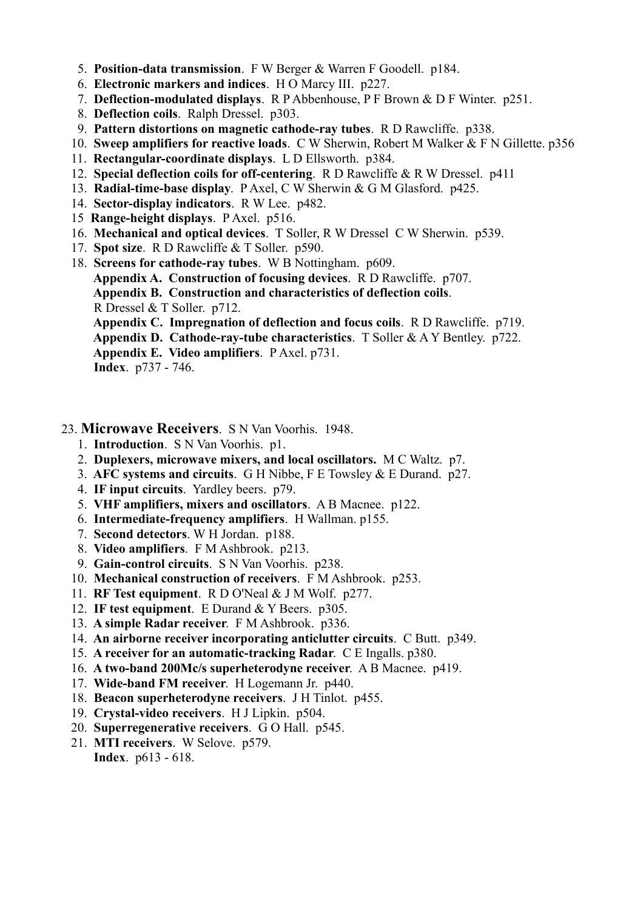- 5. **Position-data transmission**. F W Berger & Warren F Goodell. p184.
- 6. **Electronic markers and indices**. H O Marcy III. p227.
- 7. **Deflection-modulated displays**. R P Abbenhouse, P F Brown & D F Winter. p251.
- 8. **Deflection coils**. Ralph Dressel. p303.
- 9. **Pattern distortions on magnetic cathode-ray tubes**. R D Rawcliffe. p338.
- 10. **Sweep amplifiers for reactive loads**. C W Sherwin, Robert M Walker & F N Gillette. p356
- 11. **Rectangular-coordinate displays**. L D Ellsworth. p384.
- 12. **Special deflection coils for off-centering**. R D Rawcliffe & R W Dressel. p411
- 13. **Radial-time-base display**. P Axel, C W Sherwin & G M Glasford. p425.
- 14. **Sector-display indicators**. R W Lee. p482.
- 15 **Range-height displays**. P Axel. p516.
- 16. **Mechanical and optical devices**. T Soller, R W Dressel C W Sherwin. p539.
- 17. **Spot size**. R D Rawcliffe & T Soller. p590.
- 18. **Screens for cathode-ray tubes**. W B Nottingham. p609. **Appendix A. Construction of focusing devices**. R D Rawcliffe. p707. **Appendix B. Construction and characteristics of deflection coils**. R Dressel & T Soller. p712. **Appendix C. Impregnation of deflection and focus coils**. R D Rawcliffe. p719.

**Appendix D. Cathode-ray-tube characteristics**. T Soller & A Y Bentley. p722.

**Appendix E. Video amplifiers**. P Axel. p731.

**Index**. p737 - 746.

- 23. **Microwave Receivers**. S N Van Voorhis. 1948.
	- 1. **Introduction**. S N Van Voorhis. p1.
	- 2. **Duplexers, microwave mixers, and local oscillators.** M C Waltz. p7.
	- 3. **AFC systems and circuits**. G H Nibbe, F E Towsley & E Durand. p27.
	- 4. **IF input circuits**. Yardley beers. p79.
	- 5. **VHF amplifiers, mixers and oscillators**. A B Macnee. p122.
	- 6. **Intermediate-frequency amplifiers**. H Wallman. p155.
	- 7. **Second detectors**. W H Jordan. p188.
	- 8. **Video amplifiers**. F M Ashbrook. p213.
	- 9. **Gain-control circuits**. S N Van Voorhis. p238.
	- 10. **Mechanical construction of receivers**. F M Ashbrook. p253.
	- 11. **RF Test equipment**. R D O'Neal & J M Wolf. p277.
	- 12. **IF test equipment**. E Durand & Y Beers. p305.
	- 13. **A simple Radar receiver**. F M Ashbrook. p336.
	- 14. **An airborne receiver incorporating anticlutter circuits**. C Butt. p349.
	- 15. **A receiver for an automatic-tracking Radar**. C E Ingalls. p380.
	- 16. **A two-band 200Mc/s superheterodyne receiver**. A B Macnee. p419.
	- 17. **Wide-band FM receiver**. H Logemann Jr. p440.
	- 18. **Beacon superheterodyne receivers**. J H Tinlot. p455.
	- 19. **Crystal-video receivers**. H J Lipkin. p504.
	- 20. **Superregenerative receivers**. G O Hall. p545.
	- 21. **MTI receivers**. W Selove. p579. **Index**. p613 - 618.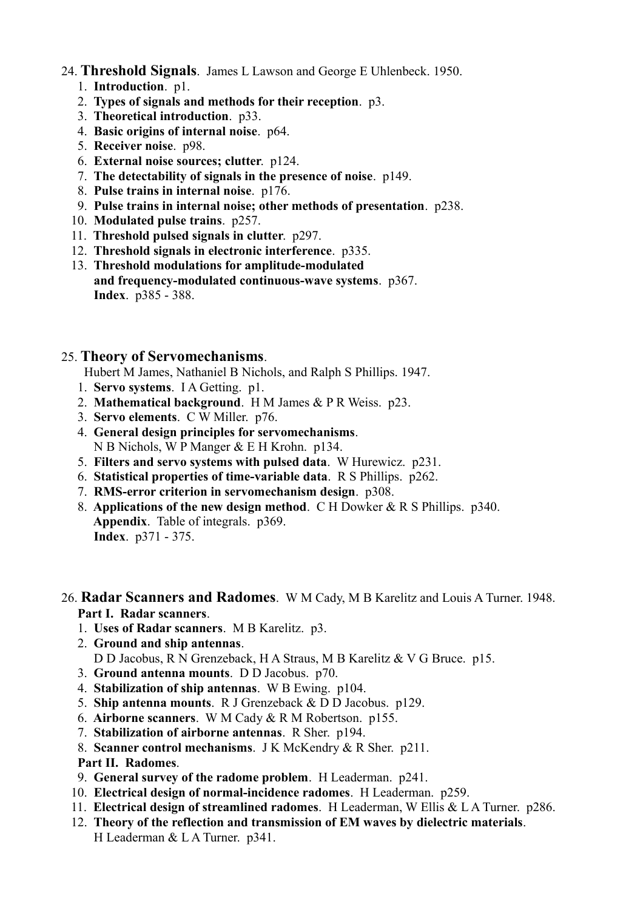## 24. **Threshold Signals**. James L Lawson and George E Uhlenbeck. 1950.

- 1. **Introduction**. p1.
- 2. **Types of signals and methods for their reception**. p3.
- 3. **Theoretical introduction**. p33.
- 4. **Basic origins of internal noise**. p64.
- 5. **Receiver noise**. p98.
- 6. **External noise sources; clutter**. p124.
- 7. **The detectability of signals in the presence of noise**. p149.
- 8. **Pulse trains in internal noise**. p176.
- 9. **Pulse trains in internal noise; other methods of presentation**. p238.
- 10. **Modulated pulse trains**. p257.
- 11. **Threshold pulsed signals in clutter**. p297.
- 12. **Threshold signals in electronic interference**. p335.
- 13. **Threshold modulations for amplitude-modulated and frequency-modulated continuous-wave systems**. p367. **Index**. p385 - 388.

## 25. **Theory of Servomechanisms**.

Hubert M James, Nathaniel B Nichols, and Ralph S Phillips. 1947.

- 1. **Servo systems**. I A Getting. p1.
- 2. **Mathematical background**. H M James & P R Weiss. p23.
- 3. **Servo elements**. C W Miller. p76.
- 4. **General design principles for servomechanisms**. N B Nichols, W P Manger & E H Krohn. p134.
- 5. **Filters and servo systems with pulsed data**. W Hurewicz. p231.
- 6. **Statistical properties of time-variable data**. R S Phillips. p262.
- 7. **RMS-error criterion in servomechanism design**. p308.
- 8. **Applications of the new design method**. C H Dowker & R S Phillips. p340. **Appendix**. Table of integrals. p369. **Index**. p371 - 375.

## 26. **Radar Scanners and Radomes**. W M Cady, M B Karelitz and Louis A Turner. 1948. **Part I. Radar scanners**.

- 1. **Uses of Radar scanners**. M B Karelitz. p3.
- 2. **Ground and ship antennas**.
	- D D Jacobus, R N Grenzeback, H A Straus, M B Karelitz & V G Bruce. p15.
- 3. **Ground antenna mounts**. D D Jacobus. p70.
- 4. **Stabilization of ship antennas**. W B Ewing. p104.
- 5. **Ship antenna mounts**. R J Grenzeback & D D Jacobus. p129.
- 6. **Airborne scanners**. W M Cady & R M Robertson. p155.
- 7. **Stabilization of airborne antennas**. R Sher. p194.
- 8. **Scanner control mechanisms**. J K McKendry & R Sher. p211.

### **Part II. Radomes**.

- 9. **General survey of the radome problem**. H Leaderman. p241.
- 10. **Electrical design of normal-incidence radomes**. H Leaderman. p259.
- 11. **Electrical design of streamlined radomes**. H Leaderman, W Ellis & L A Turner. p286.
- 12. **Theory of the reflection and transmission of EM waves by dielectric materials**. H Leaderman & L A Turner. p341.